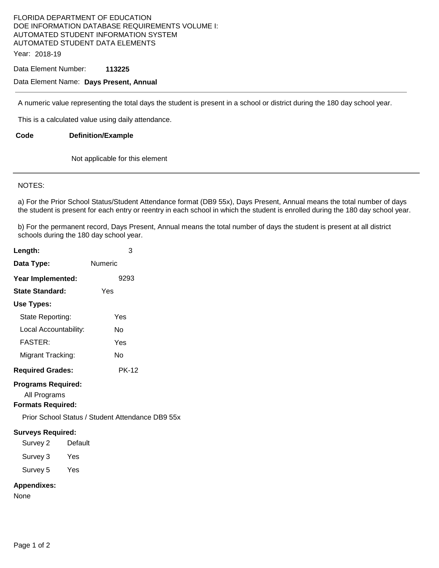#### FLORIDA DEPARTMENT OF EDUCATION DOE INFORMATION DATABASE REQUIREMENTS VOLUME I: AUTOMATED STUDENT INFORMATION SYSTEM AUTOMATED STUDENT DATA ELEMENTS Year: 2018-19

Data Element Number: **113225** 

### Data Element Name: **Days Present, Annual**

A numeric value representing the total days the student is present in a school or district during the 180 day school year.

This is a calculated value using daily attendance.

**Code Definition/Example** 

Not applicable for this element

#### NOTES:

a) For the Prior School Status/Student Attendance format (DB9 55x), Days Present, Annual means the total number of days the student is present for each entry or reentry in each school in which the student is enrolled during the 180 day school year.

b) For the permanent record, Days Present, Annual means the total number of days the student is present at all district schools during the 180 day school year.

| Length:                                                               | 3                                                |
|-----------------------------------------------------------------------|--------------------------------------------------|
| Data Type:                                                            | Numeric                                          |
| Year Implemented:                                                     | 9293                                             |
| State Standard:                                                       | Yes                                              |
| Use Types:                                                            |                                                  |
| State Reporting:                                                      | Yes                                              |
| Local Accountability:                                                 | N٥                                               |
| <b>FASTER:</b>                                                        | Yes                                              |
| Migrant Tracking:                                                     | No                                               |
| <b>Required Grades:</b>                                               | <b>PK-12</b>                                     |
| <b>Programs Required:</b><br>All Programs<br><b>Formats Required:</b> | Prior School Status / Student Attendance DB9 55x |
| <b>Surveys Required:</b>                                              |                                                  |

| <i>.</i><br>Survey 2 | Default |
|----------------------|---------|
| Survey 3             | Yes     |

Survey 5 Yes

## **Appendixes:**

None